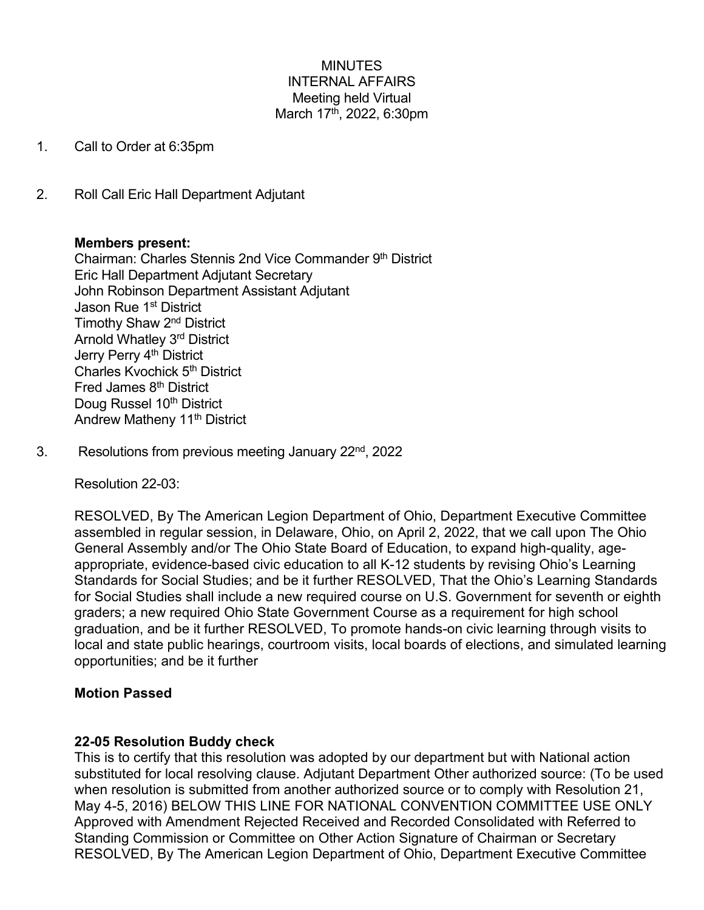# MINUTES INTERNAL AFFAIRS Meeting held Virtual March 17<sup>th</sup>, 2022, 6:30pm

- 1. Call to Order at 6:35pm
- 2. Roll Call Eric Hall Department Adjutant

## **Members present:**

Chairman: Charles Stennis 2nd Vice Commander 9th District Eric Hall Department Adjutant Secretary John Robinson Department Assistant Adjutant Jason Rue 1<sup>st</sup> District Timothy Shaw 2nd District Arnold Whatley 3rd District Jerry Perry 4<sup>th</sup> District Charles Kvochick 5th District Fred James 8<sup>th</sup> District Doug Russel 10<sup>th</sup> District Andrew Matheny 11<sup>th</sup> District

3. Resolutions from previous meeting January 22nd, 2022

Resolution 22-03:

RESOLVED, By The American Legion Department of Ohio, Department Executive Committee assembled in regular session, in Delaware, Ohio, on April 2, 2022, that we call upon The Ohio General Assembly and/or The Ohio State Board of Education, to expand high-quality, ageappropriate, evidence-based civic education to all K-12 students by revising Ohio's Learning Standards for Social Studies; and be it further RESOLVED, That the Ohio's Learning Standards for Social Studies shall include a new required course on U.S. Government for seventh or eighth graders; a new required Ohio State Government Course as a requirement for high school graduation, and be it further RESOLVED, To promote hands-on civic learning through visits to local and state public hearings, courtroom visits, local boards of elections, and simulated learning opportunities; and be it further

## **Motion Passed**

## **22-05 Resolution Buddy check**

This is to certify that this resolution was adopted by our department but with National action substituted for local resolving clause. Adjutant Department Other authorized source: (To be used when resolution is submitted from another authorized source or to comply with Resolution 21, May 4-5, 2016) BELOW THIS LINE FOR NATIONAL CONVENTION COMMITTEE USE ONLY Approved with Amendment Rejected Received and Recorded Consolidated with Referred to Standing Commission or Committee on Other Action Signature of Chairman or Secretary RESOLVED, By The American Legion Department of Ohio, Department Executive Committee